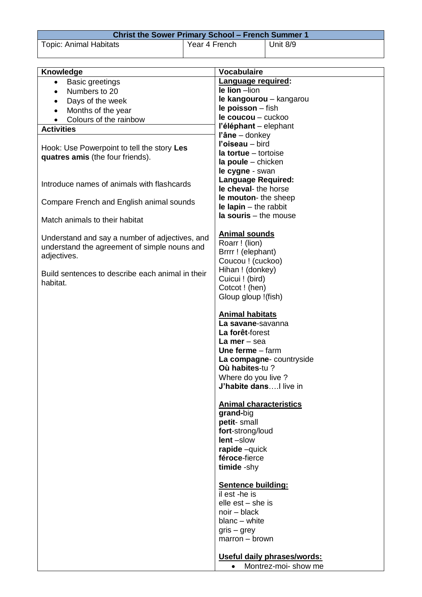| <b>Christ the Sower Primary School – French Summer 1</b> |               |          |
|----------------------------------------------------------|---------------|----------|
| <b>Topic: Animal Habitats</b>                            | Year 4 French | Unit 8/9 |

| Knowledge                                        | <b>Vocabulaire</b>                    |
|--------------------------------------------------|---------------------------------------|
| <b>Basic greetings</b><br>$\bullet$              | Language required:                    |
| Numbers to 20                                    | le lion -lion                         |
| $\bullet$                                        | le kangourou - kangarou               |
| Days of the week                                 | le poisson - fish                     |
| Months of the year<br>$\bullet$                  | le coucou - cuckoo                    |
| Colours of the rainbow<br>$\bullet$              | l'éléphant - elephant                 |
| <b>Activities</b>                                | l'âne - donkey                        |
|                                                  | l'oiseau - bird                       |
| Hook: Use Powerpoint to tell the story Les       | $Ia$ tortue $-$ tortoise              |
| quatres amis (the four friends).                 | $la$ poule $-$ chicken                |
|                                                  | le cygne - swan                       |
| Introduce names of animals with flashcards       | <b>Language Required:</b>             |
|                                                  | le cheval-the horse                   |
| Compare French and English animal sounds         | le mouton-the sheep                   |
|                                                  | $le$ lapin $-$ the rabbit             |
| Match animals to their habitat                   | $la$ souris $-$ the mouse             |
|                                                  |                                       |
| Understand and say a number of adjectives, and   | <b>Animal sounds</b>                  |
| understand the agreement of simple nouns and     | Roarr ! (lion)                        |
| adjectives.                                      | Brrrr ! (elephant)                    |
|                                                  | Coucou ! (cuckoo)                     |
| Build sentences to describe each animal in their | Hihan ! (donkey)                      |
| habitat.                                         | Cuicui! (bird)                        |
|                                                  | Cotcot ! (hen)                        |
|                                                  | Gloup gloup !(fish)                   |
|                                                  | <b>Animal habitats</b>                |
|                                                  | La savane-savanna                     |
|                                                  | La forêt-forest                       |
|                                                  | La mer $-$ sea                        |
|                                                  | Une ferme $-$ farm                    |
|                                                  | La compagne- countryside              |
|                                                  | Où habites-tu?                        |
|                                                  | Where do you live?                    |
|                                                  | J'habite dansI live in                |
|                                                  |                                       |
|                                                  | <b>Animal characteristics</b>         |
|                                                  | grand-big                             |
|                                                  | petit-small                           |
|                                                  | fort-strong/loud                      |
|                                                  | $lent -slow$                          |
|                                                  | rapide -quick                         |
|                                                  | féroce-fierce                         |
|                                                  | timide -shy                           |
|                                                  |                                       |
|                                                  | <b>Sentence building:</b>             |
|                                                  | $\overline{il}$ est -he is            |
|                                                  | elle $est - she$ is<br>$noir - black$ |
|                                                  | blanc - white                         |
|                                                  | $gris - grey$                         |
|                                                  | $marrow - brown$                      |
|                                                  |                                       |
|                                                  | Useful daily phrases/words:           |
|                                                  | Montrez-moi- show me                  |